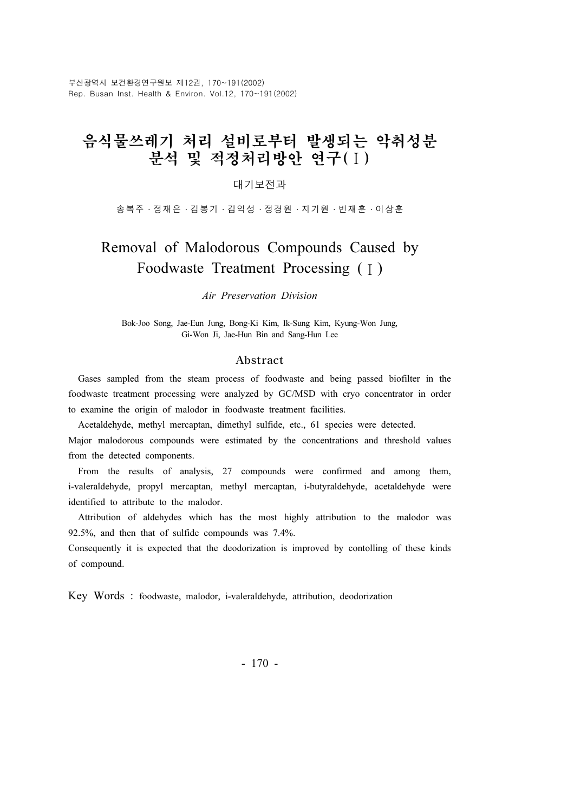부산광역시 보건환경연구원보 제12권, 170~191(2002) Rep. Busan Inst. Health & Environ. Vol.12, 170~191(2002)

# 음식물쓰레기 처리 설비로부터 발생되는 악취성분 분석 및 적정처리방안 연구(Ⅰ)

## 대기보전과

송복주 ․ 정재은 ․ 김봉기 ․ 김익성 ․ 정경원 ․ 지기원 ․ 빈재훈 ․ 이상훈

# Removal of Malodorous Compounds Caused by Foodwaste Treatment Processing (Ⅰ)

Air Preservation Division

Bok-Joo Song, Jae-Eun Jung, Bong-Ki Kim, Ik-Sung Kim, Kyung-Won Jung, Gi-Won Ji, Jae-Hun Bin and Sang-Hun Lee

#### Abstract

Gases sampled from the steam process of foodwaste and being passed biofilter in the foodwaste treatment processing were analyzed by GC/MSD with cryo concentrator in order to examine the origin of malodor in foodwaste treatment facilities.

Acetaldehyde, methyl mercaptan, dimethyl sulfide, etc., 61 species were detected. Major malodorous compounds were estimated by the concentrations and threshold values from the detected components.

From the results of analysis, 27 compounds were confirmed and among them, i-valeraldehyde, propyl mercaptan, methyl mercaptan, i-butyraldehyde, acetaldehyde were identified to attribute to the malodor.

Attribution of aldehydes which has the most highly attribution to the malodor was 92.5%, and then that of sulfide compounds was 7.4%.

Consequently it is expected that the deodorization is improved by contolling of these kinds of compound.

Key Words : foodwaste, malodor, i-valeraldehyde, attribution, deodorization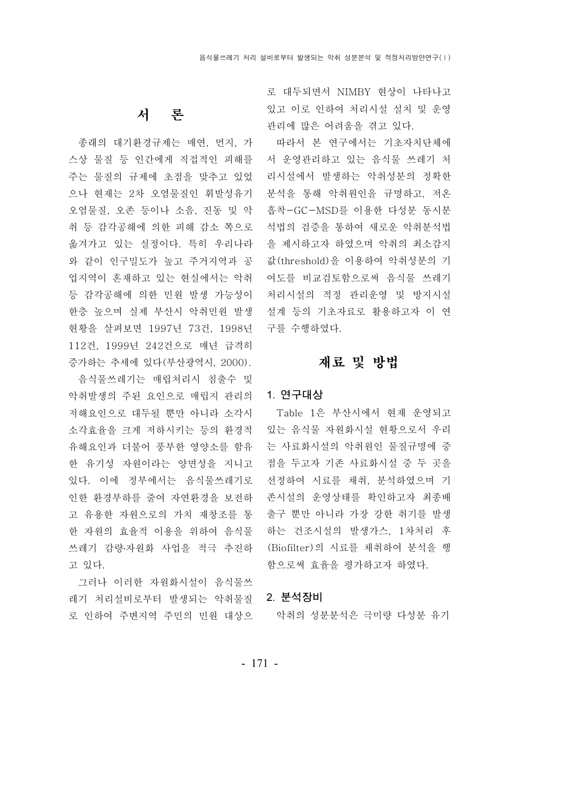## 서 론

종래의 대기환경규제는 매연, 먼지, 가 스상 물질 등 인간에게 직접적인 피해를 서 운영관리하고 있는 음식물 쓰레기 처 주는 물질의 규제에 초점을 맞추고 있었 으나 현재는 2차 오염물질인 휘발성유기 분석을 통해 악취원인을 규명하고, 저온 오염물질, 오존 등이나 소음, 진동 및 악 흡착-GC-MSD를 이용한 다성분 동시분 취 등 감각공해에 의한 피해 감소 쪽으로 석법의 검증을 통하여 새로운 악취분석법 옮겨가고 있는 실정이다. 특히 우리나라 을 제시하고자 하였으며 악취의 최소감지 와 같이 인구밀도가 높고 주거지역과 공 값(threshold)을 이용하여 악취성분의 기 업지역이 혼재하고 있는 현실에서는 악취 여도를 비교검토함으로써 음식물 쓰레기 등 감각공해에 의한 민원 발생 가능성이 처리시설의 적정 관리운영 및 방지시설 한층 높으며 실제 부산시 악취민원 발생 설계 등의 기초자료로 활용하고자 이 연 현황을 살펴보면 1997년 73건, 1998년 구를 수행하였다. 112건, 1999년 242건으로 매년 급격히 증가하는 추세에 있다 (부산광역시, 2000).

음식물쓰레기는 매립처리시 침출수 및 악취발생의 주된 요인으로 매립지 관리의 1. 연구대상 저해요인으로 대두될 뿐만 아니라 소각시 소각효율을 크게 저하시키는 등의 환경적 유해요인과 더불어 풍부한 영양소를 함유 는 사료화시설의 악취원인 물질규명에 중 한 유기성 자원이라는 양면성을 지니고 점을 두고자 기존 사료화시설 중 두 곳을 있다. 이에 정부에서는 음식물쓰레기로 선정하여 시료를 채취, 분석하였으며 기 인한 환경부하를 줄여 자연환경을 보전하 고 유용한 자원으로의 가치 재창조를 통 출구 뿐만 아니라 가장 강한 취기를 발생 한 자원의 효율적 이용을 위하여 음식물 쓰레기 감량·자원화 사업을 적극 추진하 (Biofilter)의 시료를 채취하여 분석을 행 고 있다.

그러나 이러한 자원화시설이 음식물쓰 레기 처리설비로부터 발생되는 악취물질 2. 분석장비 로 인하여 주변지역 주민의 민원 대상으

로 대두되면서 NIMBY 현상이 나타나고 있고 이로 인하여 처리시설 설치 및 운영 관리에 많은 어려움을 겪고 있다.

따라서 본 연구에서는 기초자치단체에 리시설에서 발생하는 악취성분의 정확한

## 재료 및 방법

Table 1은 부산시에서 현재 운영되고 있는 음식물 자원화시설 현황으로서 우리 존시설의 운영상태를 확인하고자 최종배 하는 건조시설의 발생가스, 1차처리 후 함으로써 효율을 평가하고자 하였다.

악취의 성분분석은 극미량 다성분 유기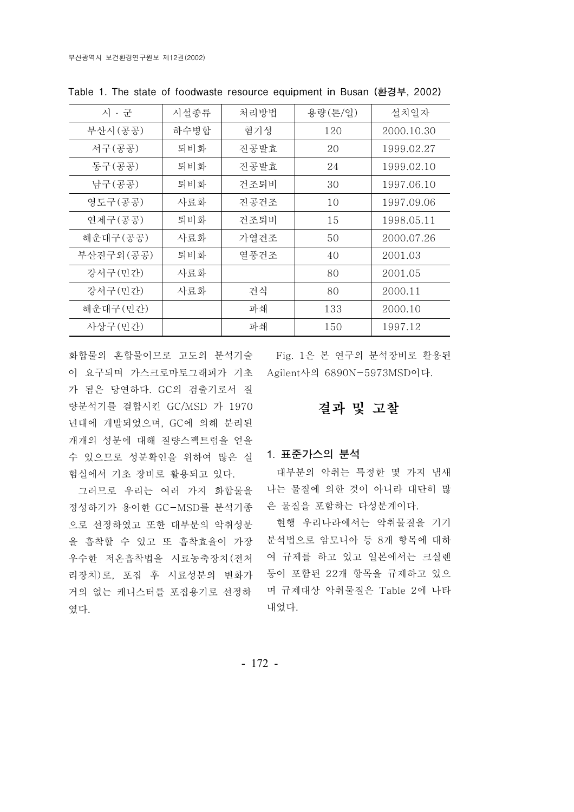| 시 • 군     | 시설종류 | 처리방법 | 용량(톤/일) | 설치일자       |
|-----------|------|------|---------|------------|
| 부산시(공공)   | 하수병합 | 혐기성  | 120     | 2000.10.30 |
| 서구(공공)    | 퇴비화  | 진공발효 | 20      | 1999.02.27 |
| 동구(공공)    | 퇴비화  | 진공발효 | 24      | 1999.02.10 |
| 남구(공공)    | 퇴비화  | 건조퇴비 | 30      | 1997.06.10 |
| 영도구(공공)   | 사료화  | 진공건조 | 10      | 1997.09.06 |
| 연제구(공공)   | 퇴비화  | 건조퇴비 | 15      | 1998.05.11 |
| 해운대구(공공)  | 사료화  | 가열건조 | 50      | 2000.07.26 |
| 부산진구외(공공) | 퇴비화  | 열풍건조 | 40      | 2001.03    |
| 강서구(민간)   | 사료화  |      | 80      | 2001.05    |
| 강서구(민간)   | 사료화  | 건식   | 80      | 2000.11    |
| 해운대구(민간)  |      | 파쇄   | 133     | 2000.10    |
| 사상구(민간)   |      | 파쇄   | 150     | 1997.12    |

Table 1. The state of foodwaste resource equipment in Busan (환경부, 2002)

화합물의 혼합물이므로 고도의 분석기술 이 요구되며 가스크로마토그래피가 기초 Agilent사의 6890N-5973MSD이다. 가 됨은 당연하다. GC의 검출기로서 질 량분석기를 결합시킨 GC/MSD 가 1970 년대에 개발되었으며, GC에 의해 분리된 개개의 성분에 대해 질량스펙트럼을 얻을 수 있으므로 성분확인을 위하여 많은 실 험실에서 기초 장비로 활용되고 있다.

그러므로 우리는 여러 가지 화합물을 정성하기가 용이한 GC-MSD를 분석기종 으로 선정하였고 또한 대부분의 악취성분 을 흡착할 수 있고 또 흡착효율이 가장 우수한 저온흡착법을 시료농축장치 전처 ( 리장치)로, 포집 후 시료성분의 변화가 거의 없는 캐니스터를 포집용기로 선정하 였다.

Fig. 1은 본 연구의 분석장비로 활용된

# 결과 및 고찰

## 1. 표준가스의 분석

대부분의 악취는 특정한 몇 가지 냄새 나는 물질에 의한 것이 아니라 대단히 많 은 물질을 포함하는 다성분계이다.

현행 우리나라에서는 악취물질을 기기 분석법으로 암모니아 등 8개 항목에 대하 여 규제를 하고 있고 일본에서는 크실렌 등이 포함된 22개 항목을 규제하고 있으 며 규제대상 악취물질은 Table 2에 나타 내었다.

- 172 -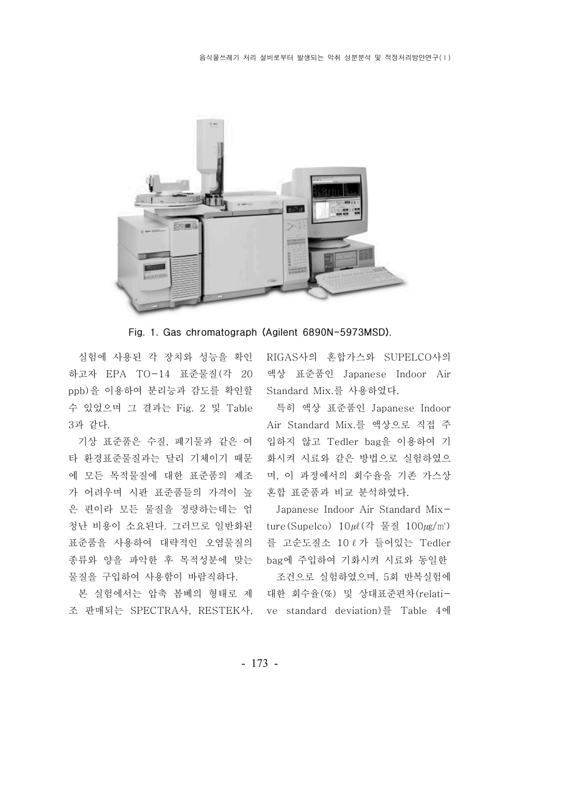

Fig. 1. Gas chromatograph (Agilent 6890N-5973MSD).

실험에 사용된 각 장치와 성능을 확인 하고자 EPA TO-14 표준물질 (각 20 ppb)을 이용하여 분리능과 감도를 확인할 Standard Mix.를 사용하였다. 수 있었으며 그 결과는 Fig. 2 및 Table 3과 같다.

기상 표준품은 수질, 폐기물과 같은 여 타 환경표준물질과는 달리 기체이기 때문 에 모든 목적물질에 대한 표준품의 제조 가 어려우며 시판 표준품들의 가격이 높 은 편이라 모든 물질을 정량하는데는 엄 표준품을 사용하여 대략적인 오염물질의 종류와 양을 파악한 후 목적성분에 맞는 bag에 주입하여 기화시켜 시료와 동일한 물질을 구입하여 사용함이 바람직하다.

RIGAS사의 혼합가스와 SUPELCO사의 액상 표준품인 Japanese Indoor Air

특히 액상 표준품인 Japanese Indoor Air Standard Mix.를 액상으로 직접 주 입하지 않고 Tedler bag을 이용하여 기 화시켜 시료와 같은 방법으로 실험하였으 며, 이 과정에서의 회수율을 기존 가스상 혼합 표준품과 비교 분석하였다.

청난 비용이 소요된다. 그러므로 일반화된 ture(Supelco)  $10 \mu\ell$ (각 물질  $100 \mu\mathrm{g/m}$ ) Japanese Indoor Air Standard Mix-를 고순도질소 10 ℓ 가 들어있는 Tedler

본 실험에서는 압축 봄베의 형태로 제 대한 회수율(%) 및 상대표준편차(relati-조 판매되는 SPECTRA사, RESTEK사, ve standard deviation)를 Table 4에 조건으로 실험하였으며, 5회 반복실험에

- 173 -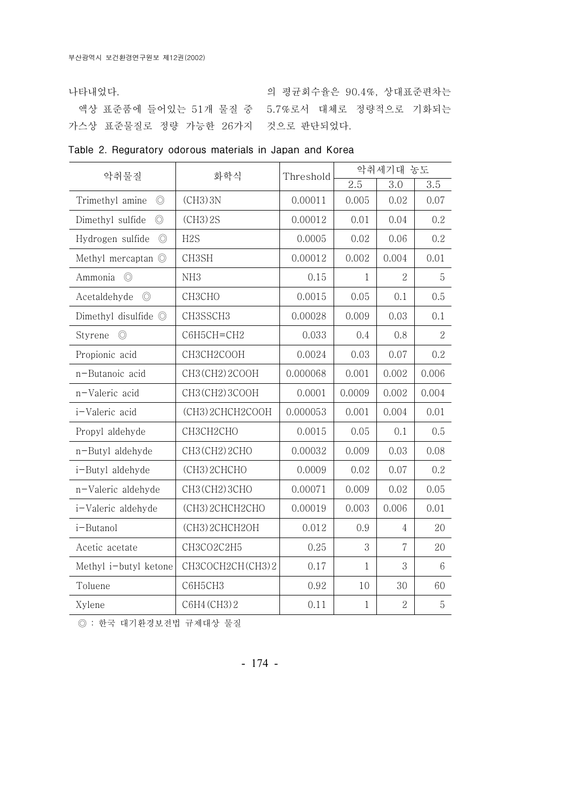나타내었다.

가스상 표준물질로 정량 가능한 26가지 \_ 것으로 판단되었다.

액상 표준품에 들어있는 개 물질 중 51 5.7%로서 대체로 정량적으로 기화되는 의 평균회수율은 90.4%, 상대표준편차는

|  | Table 2. Reguratory odorous materials in Japan and Korea |  |  |  |  |  |  |
|--|----------------------------------------------------------|--|--|--|--|--|--|
|--|----------------------------------------------------------|--|--|--|--|--|--|

| 악취물질                               | 화학식              | Threshold | 악취세기대 농도     |                |                |  |
|------------------------------------|------------------|-----------|--------------|----------------|----------------|--|
|                                    |                  |           | 2.5          | 3.0            | 3.5            |  |
| $\circledcirc$<br>Trimethyl amine  | $(CH3)$ 3N       | 0.00011   | 0.005        | 0.02           | 0.07           |  |
| Dimethyl sulfide<br>$\circledcirc$ | $(CH3)$ 2S       | 0.00012   | 0.01         | 0.04           | 0.2            |  |
| Hydrogen sulfide<br>$\circledcirc$ | H <sub>2</sub> S | 0.0005    | 0.02         | 0.06           | 0.2            |  |
| Methyl mercaptan <sup>O</sup>      | CH3SH            | 0.00012   | 0.002        | 0.004          | 0.01           |  |
| $\circledcirc$<br>Ammonia          | NH <sub>3</sub>  | 0.15      | $\mathbf{1}$ | $\overline{2}$ | $\mathbf 5$    |  |
| Acetaldehyde<br>$\circledcirc$     | СНЗСНО           | 0.0015    | 0.05         | 0.1            | 0.5            |  |
| Dimethyl disulfide $\odot$         | CH3SSCH3         | 0.00028   | 0.009        | 0.03           | 0.1            |  |
| $\circledcirc$<br>Styrene          | С6Н5СН=СН2       | 0.033     | 0.4          | 0.8            | $\overline{2}$ |  |
| Propionic acid                     | CH3CH2COOH       | 0.0024    | 0.03         | 0.07           | 0.2            |  |
| n-Butanoic acid                    | CH3(CH2)2COOH    | 0.000068  | 0.001        | 0.002          | 0.006          |  |
| n-Valeric acid                     | CH3 (CH2) 3COOH  | 0.0001    | 0.0009       | 0.002          | 0.004          |  |
| i-Valeric acid                     | (CH3) 2CHCH2COOH | 0.000053  | 0.001        | 0.004          | 0.01           |  |
| Propyl aldehyde                    | СНЗСН2СНО        | 0.0015    | 0.05         | 0.1            | 0.5            |  |
| n-Butyl aldehyde                   | CH3 (CH2) 2CHO   | 0.00032   | 0.009        | 0.03           | 0.08           |  |
| i-Butyl aldehyde                   | (CH3) 2CHCHO     | 0.0009    | 0.02         | 0.07           | 0.2            |  |
| n-Valeric aldehyde                 | CH3 (CH2) 3CHO   | 0.00071   | 0.009        | 0.02           | 0.05           |  |
| i-Valeric aldehyde                 | (СНЗ) 2СНСН2СНО  | 0.00019   | 0.003        | 0.006          | 0.01           |  |
| i-Butanol                          | (CH3) 2CHCH2OH   | 0.012     | 0.9          | $\overline{4}$ | 20             |  |
| Acetic acetate                     | CH3CO2C2H5       | 0.25      | 3            | 7              | 20             |  |
| Methyl i-butyl ketone              | CH3COCH2CH(CH3)2 | 0.17      | $\mathbf{1}$ | 3              | 6              |  |
| Toluene                            | С6Н5СН3          | 0.92      | 10           | 30             | 60             |  |
| Xylene                             | C6H4 (CH3) 2     | 0.11      | $\mathbf{1}$ | $\overline{2}$ | 5              |  |

◎ : 한국 대기환경보전법 규제대상 물질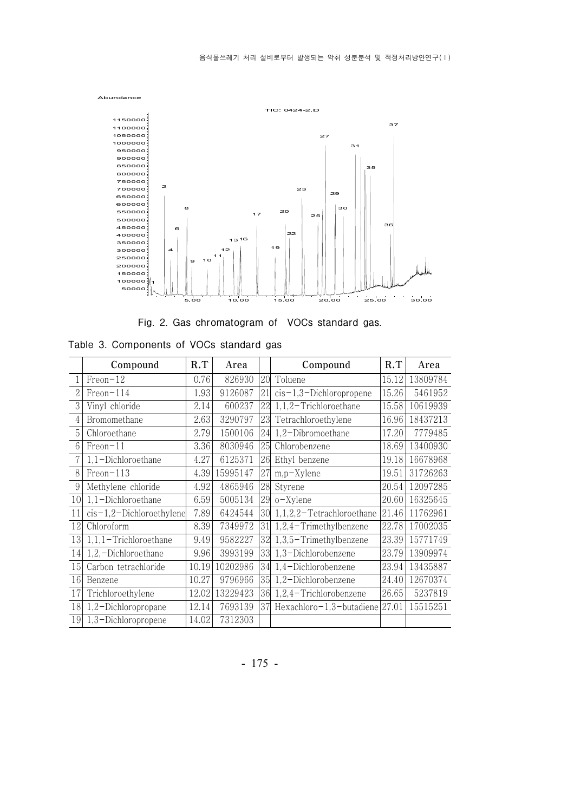

Fig. 2. Gas chromatogram of VOCs standard gas.

|                 | 350000<br>19<br>4<br>12<br>300000<br>11<br>250000<br>10<br>9<br>200000<br>150000<br>100000<br>50000<br>25 00<br>so oo<br>20.00<br>5.00<br>10.00<br>15.00<br>Fig. 2. Gas chromatogram of VOCs standard gas.<br>Table 3. Components of VOCs standard gas |       |          |    |                                  |       |          |  |  |  |
|-----------------|--------------------------------------------------------------------------------------------------------------------------------------------------------------------------------------------------------------------------------------------------------|-------|----------|----|----------------------------------|-------|----------|--|--|--|
|                 | Compound                                                                                                                                                                                                                                               | R.T   | Area     |    | Compound                         | R.T   | Area     |  |  |  |
| 1               | $Fren-12$                                                                                                                                                                                                                                              | 0.76  | 826930   | 20 | Toluene                          | 15.12 | 13809784 |  |  |  |
| $\overline{2}$  | Freon-114                                                                                                                                                                                                                                              | 1.93  | 9126087  | 21 | $cis-1,3-Dichloropropene$        | 15.26 | 5461952  |  |  |  |
| 3               | Vinyl chloride                                                                                                                                                                                                                                         | 2.14  | 600237   | 22 | $1,1,2$ -Trichloroethane         | 15.58 | 10619939 |  |  |  |
| 4               | Bromomethane                                                                                                                                                                                                                                           | 2.63  | 3290797  | 23 | Tetrachloroethylene              | 16.96 | 18437213 |  |  |  |
| 5               | Chloroethane                                                                                                                                                                                                                                           | 2.79  | 1500106  | 24 | 1,2-Dibromoethane                | 17.20 | 7779485  |  |  |  |
| $6\phantom{.}6$ | $Fren-11$                                                                                                                                                                                                                                              | 3.36  | 8030946  | 25 | Chlorobenzene                    | 18.69 | 13400930 |  |  |  |
| 7               | 1,1-Dichloroethane                                                                                                                                                                                                                                     | 4.27  | 6125371  | 26 | Ethyl benzene                    | 19.18 | 16678968 |  |  |  |
| 8               | Freon-113                                                                                                                                                                                                                                              | 4.39  | 15995147 | 27 | $m,p$ -Xylene                    | 19.51 | 31726263 |  |  |  |
| 9               | Methylene chloride                                                                                                                                                                                                                                     | 4.92  | 4865946  | 28 | Styrene                          | 20.54 | 12097285 |  |  |  |
| 10              | 1,1-Dichloroethane                                                                                                                                                                                                                                     | 6.59  | 5005134  | 29 | $o$ -Xylene                      | 20.60 | 16325645 |  |  |  |
| 11              | $cis-1,2-Dichloroethylene$                                                                                                                                                                                                                             | 7.89  | 6424544  |    | $ 30 $ 1,1,2,2-Tetrachloroethane | 21.46 | 11762961 |  |  |  |
| 12              | Chloroform                                                                                                                                                                                                                                             | 8.39  | 7349972  | 31 | $1,2,4$ -Trimethylbenzene        | 22.78 | 17002035 |  |  |  |
| 13              | $1, 1, 1$ - Trichloroethane                                                                                                                                                                                                                            | 9.49  | 9582227  | 32 | $1,3,5$ – Trimethylbenzene       | 23.39 | 15771749 |  |  |  |
| 14              | 1,2,-Dichloroethane                                                                                                                                                                                                                                    | 9.96  | 3993199  | 33 | 1,3-Dichlorobenzene              | 23.79 | 13909974 |  |  |  |
| 15              | Carbon tetrachloride                                                                                                                                                                                                                                   | 10.19 | 10202986 | 34 | 1,4-Dichlorobenzene              | 23.94 | 13435887 |  |  |  |
| 16              | Benzene                                                                                                                                                                                                                                                | 10.27 | 9796966  | 35 | 1,2-Dichlorobenzene              | 24.40 | 12670374 |  |  |  |
| 17              | Trichloroethylene                                                                                                                                                                                                                                      | 12.02 | 13229423 | 36 | $1,2,4$ -Trichlorobenzene        | 26.65 | 5237819  |  |  |  |
| 18              | 1,2-Dichloropropane                                                                                                                                                                                                                                    | 12.14 | 7693139  | 37 | Hexachloro-1,3-butadiene         | 27.01 | 15515251 |  |  |  |
| 19              | 1,3-Dichloropropene                                                                                                                                                                                                                                    | 14.02 | 7312303  |    |                                  |       |          |  |  |  |

Table 3. Components of VOCs standard gas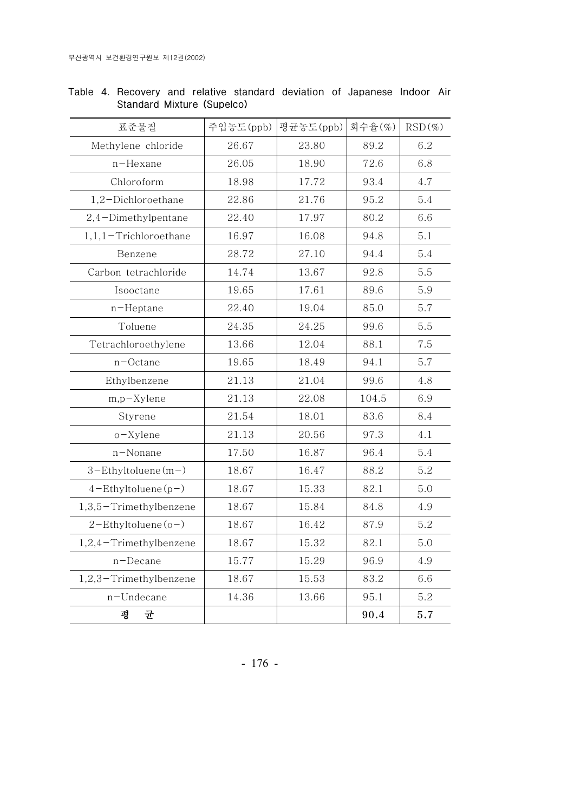| 표준물질                        | 주입농도(ppb) | 평균농도(ppb) | 회수율(%) | $RSD(\%)$ |
|-----------------------------|-----------|-----------|--------|-----------|
| Methylene chloride          | 26.67     | 23.80     | 89.2   | 6.2       |
| n-Hexane                    | 26.05     | 18.90     | 72.6   | 6.8       |
| Chloroform                  | 18.98     | 17.72     | 93.4   | 4.7       |
| 1,2-Dichloroethane          | 22.86     | 21.76     | 95.2   | 5.4       |
| 2,4-Dimethylpentane         | 22.40     | 17.97     | 80.2   | 6.6       |
| $1, 1, 1$ - Trichloroethane | 16.97     | 16.08     | 94.8   | 5.1       |
| Benzene                     | 28.72     | 27.10     | 94.4   | 5.4       |
| Carbon tetrachloride        | 14.74     | 13.67     | 92.8   | 5.5       |
| Isooctane                   | 19.65     | 17.61     | 89.6   | 5.9       |
| $n$ –Heptane                | 22.40     | 19.04     | 85.0   | 5.7       |
| Toluene                     | 24.35     | 24.25     | 99.6   | 5.5       |
| Tetrachloroethylene         | 13.66     | 12.04     | 88.1   | 7.5       |
| $n$ –Octane                 | 19.65     | 18.49     | 94.1   | 5.7       |
| Ethylbenzene                | 21.13     | 21.04     | 99.6   | 4.8       |
| $m,p$ -Xylene               | 21.13     | 22.08     | 104.5  | 6.9       |
| Styrene                     | 21.54     | 18.01     | 83.6   | 8.4       |
| $o$ -Xylene                 | 21.13     | 20.56     | 97.3   | 4.1       |
| n-Nonane                    | 17.50     | 16.87     | 96.4   | 5.4       |
| $3$ -Ethyltoluene $(m-)$    | 18.67     | 16.47     | 88.2   | 5.2       |
| $4$ -Ethyltoluene(p-)       | 18.67     | 15.33     | 82.1   | 5.0       |
| 1,3,5-Trimethylbenzene      | 18.67     | 15.84     | 84.8   | 4.9       |
| $2$ -Ethyltoluene(o-)       | 18.67     | 16.42     | 87.9   | 5.2       |
| $1,2,4$ -Trimethylbenzene   | 18.67     | 15.32     | 82.1   | 5.0       |
| $n$ –Decane                 | 15.77     | 15.29     | 96.9   | 4.9       |
| $1,2,3$ -Trimethylbenzene   | 18.67     | 15.53     | 83.2   | 6.6       |
| n-Undecane                  | 14.36     | 13.66     | 95.1   | 5.2       |
| 평<br>균                      |           |           | 90.4   | 5.7       |

Table 4. Recovery and relative standard deviation of Japanese Indoor Air Standard Mixture (Supelco)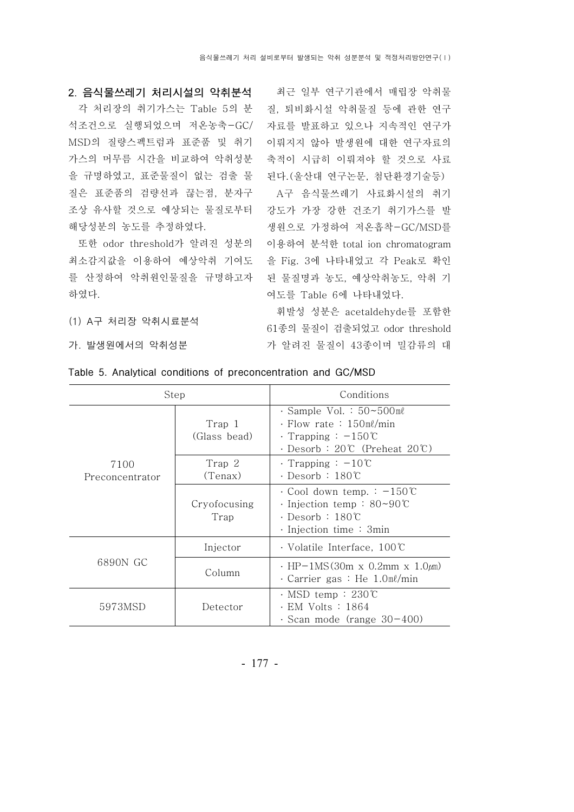질, 퇴비화시설 악취물질 등에 관한 연구 자료를 발표하고 있으나 지속적인 연구가 이뤄지지 않아 발생원에 대한 연구자료의 축적이 시급히 이뤄져야 할 것으로 사료

조상 유사할 것으로 예상되는 물질로부터 강도가 가장 강한 건조기 취기가스를 발 또한 odor threshold가 알려진 성분의 이용하여 분석한 total ion chromatogram 된다.(울산대 연구논문, 첨단환경기술등) A구 음식물쓰레기 사료화시설의 취기 생원으로 가정하여 저온흡착-GC/MSD를 여도를 Table 6에 나타내었다.

> 휘발성 성분은 acetaldehyde를 포함한 61 종의 물질이 검출되었고 odor threshold 가 알려진 물질이 43종이며 밀감류의 대

(1) A구 처리장 악취시료분석

가. 발생원에서의 악취성분

| Step                    |                        | Conditions                                                                                                                                             |  |  |
|-------------------------|------------------------|--------------------------------------------------------------------------------------------------------------------------------------------------------|--|--|
|                         | Trap 1<br>(Glass bead) | $\cdot$ Sample Vol. : $50 \sim 500$ ml<br>$\cdot$ Flow rate : 150ml/min<br>$\cdot$ Trapping : $-150^{\circ}$ C<br>$\cdot$ Desorb : 20°C (Preheat 20°C) |  |  |
| 7100<br>Preconcentrator | Trap 2<br>(Tenax)      | $\cdot$ Trapping : $-10^{\circ}$ C<br>· Desorb∶180℃                                                                                                    |  |  |
|                         | Cryofocusing<br>Trap   | $\cdot$ Cool down temp. : $-150^{\circ}$ C<br>$\cdot$ Injection temp : 80~90°C<br>· Desorb∶180℃<br>$\cdot$ Injection time : 3min                       |  |  |
|                         | Injector               | $\cdot$ Volatile Interface, 100°C                                                                                                                      |  |  |
| 6890N GC                | Column                 | $\cdot$ HP-1MS(30m x 0.2mm x 1.0 $\mu$ m)<br>Carrier gas : He $1.0$ m $\ell$ /min                                                                      |  |  |
| 5973MSD                 | Detector               | $\cdot$ MSD temp : 230°C<br>• EM Volts : 1864<br>$\cdot$ Scan mode (range 30-400)                                                                      |  |  |

Table 5. Analytical conditions of preconcentration and GC/MSD

- 177 -

## 2. 음식물쓰레기 처리시설의 악취분석 제최근 일부 연구기관에서 매립장 악취물

각 처리장의 취기가스는 Table 5의 분 석조건으로 실행되었으며 저온농축-GC/ MSD의 질량스펙트럼과 표준품 및 취기 가스의 머무름 시간을 비교하여 악취성분 을 규명하였고, 표준물질이 없는 검출 물 질은 표준품의 검량선과 끊는점, 분자구 해당성분의 농도를 추정하였다.

최소감지값을 이용하여 예상악취 기여도 을 Fig. 3에 나타내었고 각 Peak로 확인 를 산정하여 악취원인물질을 규명하고자 된 물질명과 농도, 예상악취농도, 악취 기 하였다.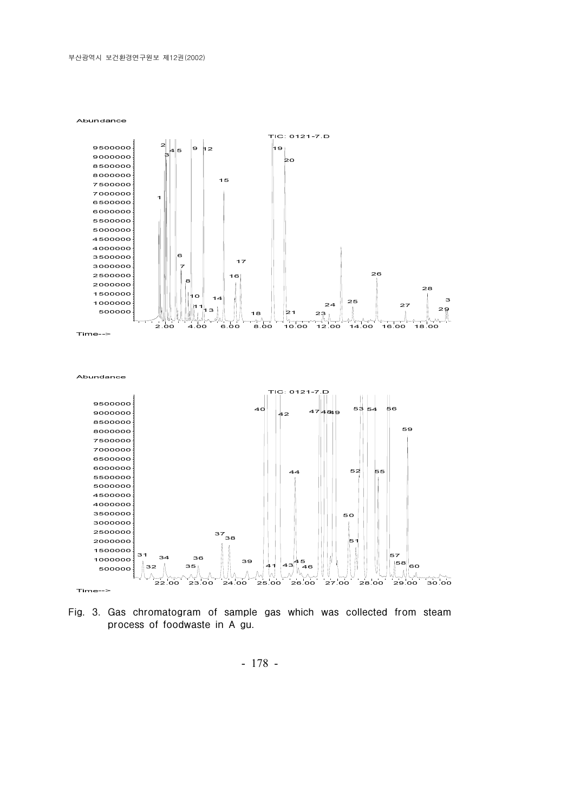



- 178 -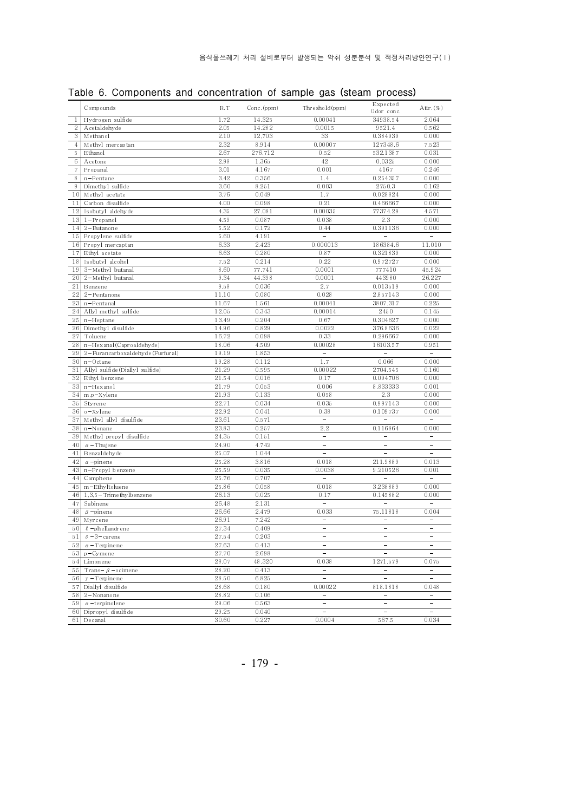| Table 6. Components and concentration of sample gas (steam process) |  |  |  |
|---------------------------------------------------------------------|--|--|--|
|---------------------------------------------------------------------|--|--|--|

|                | Compounds                         | R.T   | Conc. (ppm) | Threshold (ppm)                | Expected<br>Odor conc. | Attr. (%)                    |
|----------------|-----------------------------------|-------|-------------|--------------------------------|------------------------|------------------------------|
| 1              | Hydrogen sulfide                  | 1.72  | 14.325      | 0.00041                        | 34938.54               | 2.064                        |
| $\,2$          | Acetaldehyde                      | 2.05  | 14.282      | 0.0015                         | 9521.4                 | 0.562                        |
| 3              | Methanol                          | 2.10  | 12,703      | 33                             | 0.384939               | 0.000                        |
| $\overline{4}$ | Methyl mercaptan                  | 2.32  | 8.914       | 0.00007                        | 127348.6               | 7.523                        |
| 5              | Ethanol                           | 2.67  | 276.712     | 0.52                           | 532.1387               | 0.031                        |
| 6              | Acetone                           | 2.98  | 1.365       | 42                             | 0.0325                 | 0.000                        |
| $\overline{7}$ | Propanal                          | 3.01  | 4.167       | 0.001                          | 4167                   | 0.246                        |
| 8              | $n$ -Pentane                      | 3.42  | 0.356       | 1.4                            | 0.254357               | 0.000                        |
| 9              | Dimethyl sulfide                  | 3.60  | 8.251       | 0.003                          | 2750.3                 | 0.162                        |
| 10             | Methyl acetate                    | 3.76  | 0.049       | 1.7                            | 0.028824               | 0.000                        |
| 11             | Carbon disulfide                  | 4.00  | 0.098       | 0.21                           | 0.466667               | 0.000                        |
| 12             | Isobutyl aldehyde                 | 4.35  | 27.081      | 0.00035                        | 77374.29               | 4.571                        |
| 13             | $1 -$ Propanol                    | 4.59  | 0.087       | 0.038                          | 2.3                    | 0.000                        |
| 14             | $2 - But an one$                  | 5.52  | 0.172       | 0.44                           | 0.391136               | 0.000                        |
| 15             | Propylene sulfide                 | 5.60  | 4.191       |                                |                        |                              |
| 16             | Propyl mercaptan                  | 6.33  | 2.423       | 0.000013                       | 186384.6               | 11.010                       |
| 17             | Ethyl acetate                     | 6.63  | 0.280       | 0.87                           | 0.321839               | 0.000                        |
| 18             | Isobutyl alcohol                  | 7.52  | 0.214       | 0.22                           | 0.972727               | 0.000                        |
| 19             | 3-Methyl butanal                  | 8.60  | 77.741      | 0.0001                         | 777410                 | 45.924                       |
| 20             | 2-Methyl butanal                  | 9.34  | 44.398      | 0.0001                         | 443980                 | 26.227                       |
| 21             | Benzene                           | 9.58  | 0.036       | 2.7                            | 0.013519               | 0.000                        |
| 22             | $2-Pe$ ntanone                    | 11.10 | 0.080       | 0.028                          | 2.857143               | 0.000                        |
| 23             | n-Pentanal                        | 11.67 | 1.561       | 0.00041                        | 3807.317               | 0.225                        |
| 24             | Allyl methyl sulfide              | 12.05 | 0.343       | 0.00014                        | 2450                   | 0.145                        |
| 25             | $n$ -Heptane                      | 13.49 | 0.204       | 0.67                           | 0.304627               | 0.000                        |
| 26             | Dimethyl disulfide                | 14.96 | 0.829       | 0.0022                         | 376.8636               | 0.022                        |
| 27             | Tolue ne                          | 16.72 | 0.098       | 0.33                           | 0.296667               | 0.000                        |
| 28             | n-Hexanal (Caproaldehyde)         | 18.06 | 4.509       | 0.00028                        | 16103.57               | 0.951                        |
| 29             | 2-Furancarboxalde hyde (Furfural) | 19.19 | 1.853       |                                |                        |                              |
| 30             | $n$ -Octane                       | 19.28 | 0.112       | 1.7                            | 0.066                  | 0.000                        |
| 31             | Allyl sulfide (Diallyl sulfide)   | 21.29 | 0.595       | 0.00022                        | 2704.545               | 0.160                        |
| 32             | Ethyl benzene                     | 21.54 | 0.016       | 0.17                           | 0.094706               | 0.000                        |
| 33             | n-Hexanol                         | 21.79 | 0.053       | 0.006                          | 8.833333               | 0.001                        |
| 34             | $m, p-X$ ylene                    | 21.93 | 0.133       | 0.058                          | 2.3                    | 0.000                        |
| 35             | Styrene                           | 22.71 | 0.034       | 0.035                          | 0.997143               | 0.000                        |
| 36             | o-Xylene                          | 22.92 | 0.041       | 0.38                           | 0.109737               | 0.000                        |
| 37             | Methyl allyl disulfide            | 23.61 | 0.571       | $\equiv$                       |                        | $\equiv$                     |
| 38             | $n$ -Nonane                       | 23.83 | 0.257       | 2.2                            | 0.116864               | 0.000                        |
| 39             | Methyl propyl disulfide           | 24.35 | 0.151       | $\qquad \qquad \longleftarrow$ |                        | $\qquad \qquad \blacksquare$ |
| 40             | $\alpha$ -Thujene                 | 24.90 | 4.742       |                                |                        |                              |
| 41             | Benzaldehyde                      | 25.07 | 1.044       | $\equiv$                       |                        |                              |
| 42             | $\alpha$ -pinene                  | 25.28 | 3.816       | 0.018                          | 211.9889               | 0.013                        |
| 43             | n-Propyl benzene                  | 25.59 | 0.035       | 0.0038                         | 9.210526               | 0.001                        |
| 44             | Camphene                          | 25.76 | 0.707       |                                |                        |                              |
| 45             | m-Ethyltoluene                    | 25.86 | 0.058       | 0.018                          | 3.238889               | 0.000                        |
| 46             | $1,3,5$ - Trimethylbenzene        | 26.13 | 0.025       | 0.17                           | 0.145882               | 0.000                        |
| 47             | Sabinene                          | 26.48 | 2.131       |                                |                        |                              |
| 48             | $\beta$ -pinene                   | 26.66 | 2.479       | 0.033                          | 75.11818               | 0.004                        |
| 49             | Myrcene                           | 26.91 | 7.242       |                                |                        |                              |
| 50             | $\ell$ -phellandrene              | 27.34 | 0.409       | L                              |                        |                              |
| 51             | $\delta$ -3-carene                | 27.54 | 0.203       |                                |                        |                              |
| 52             | $\alpha$ - Terpinene              | 27.63 | 0.413       | $\equiv$                       | -                      | $\equiv$                     |
| 53             | $p$ -Cymene                       | 27.70 | 2.698       | $\equiv$                       | ÷.                     |                              |
| 54             | Limonene                          | 28.07 | 48.320      | 0.038                          | 1271.579               | 0.075                        |
| 55             | Trans- $\beta$ -ocimene           | 28.20 | 0.413       | ÷                              | $\frac{1}{2}$          | $\rightarrow$                |
| 56             | $\gamma$ - Terpinene              | 28.50 | 6.825       | $\overline{\phantom{a}}$       | $\equiv$               | $\equiv$                     |
| 57             | Diallyl disulfide                 | 28.68 | 0.180       | 0.00022                        | 818.1818               | 0.048                        |
| 58             | $2-Nonanone$                      | 28.82 | 0.106       | $\equiv$                       |                        |                              |
| 59             | $\alpha$ -terpinolene             | 29.06 | 0.563       | $\equiv$                       | $\equiv$               |                              |
| 60             | Dipropyl disulfide                | 29.25 | 0.040       | $\equiv$                       | $\equiv$               |                              |
| 61             | Decanal                           | 30.60 | 0.227       | 0.0004                         | 567.5                  | 0.034                        |
|                |                                   |       |             |                                |                        |                              |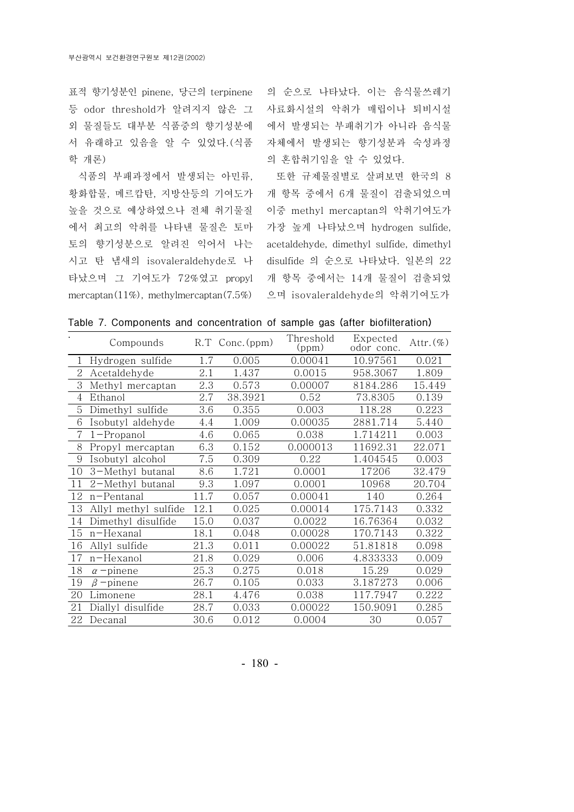표적 향기성분인 pinene, 당근의 terpinene 등 odor threshold가 알려지지 않은 그 외 물질들도 대부분 식품중의 향기성분에 서 유래하고 있음을 알 수 있었다. (식품 학 개론)

식품의 부패과정에서 발생되는 아민류, 황화합물, 메르캅탄, 지방산등의 기여도가 높을 것으로 예상하였으나 전체 취기물질 에서 최고의 악취를 나타낸 물질은 토마 토의 향기성분으로 알려진 익어서 나는 시고 탄 냄새의 isovaleraldehyde로 나 타났으며 그 기여도가 72%였고 propyl mercaptan(11%), methylmercaptan(7.5%)

의 순으로 나타났다. 이는 음식물쓰레기 사료화시설의 악취가 매립이나 퇴비시설 에서 발생되는 부패취기가 아니라 음식물 자체에서 발생되는 향기성분과 숙성과정 의 혼합취기임을 알 수 있었다.

또한 규제물질별로 살펴보면 한국의 8 개 항목 중에서 6개 물질이 검출되었으며 이중 methyl mercaptan의 악취기여도가 가장 높게 나타났으며 hydrogen sulfide, acetaldehyde, dimethyl sulfide, dimethyl disulfide 의 순으로 나타났다. 일본의 22 개 항목 중에서는 14개 물질이 검출되었 으며 isovaleraldehyde의 악취기여도가

|  |  |  | Table 7. Components and concentration of sample gas (after biofilteration) |  |  |  |  |  |
|--|--|--|----------------------------------------------------------------------------|--|--|--|--|--|
|--|--|--|----------------------------------------------------------------------------|--|--|--|--|--|

|                | Compounds            |      | R.T Conc. (ppm) | Threshold<br>(ppm) | Expected<br>odor conc. | Attr. $(\%)$ |
|----------------|----------------------|------|-----------------|--------------------|------------------------|--------------|
| $\mathbf{1}$   | Hydrogen sulfide     | 1.7  | 0.005           | 0.00041            | 10.97561               | 0.021        |
| $\overline{2}$ | Acetaldehyde         | 2.1  | 1.437           | 0.0015             | 958.3067               | 1.809        |
| 3              | Methyl mercaptan     | 2.3  | 0.573           | 0.00007            | 8184.286               | 15.449       |
| 4              | Ethanol              | 2.7  | 38.3921         | 0.52               | 73.8305                | 0.139        |
| 5              | Dimethyl sulfide     | 3.6  | 0.355           | 0.003              | 118.28                 | 0.223        |
| 6              | Isobutyl aldehyde    | 4.4  | 1.009           | 0.00035            | 2881.714               | 5.440        |
| 7              | $1$ -Propanol        | 4.6  | 0.065           | 0.038              | 1.714211               | 0.003        |
| 8              | Propyl mercaptan     | 6.3  | 0.152           | 0.000013           | 11692.31               | 22.071       |
| 9              | Isobutyl alcohol     | 7.5  | 0.309           | 0.22               | 1.404545               | 0.003        |
| 10             | 3-Methyl butanal     | 8.6  | 1.721           | 0.0001             | 17206                  | 32.479       |
| 11             | 2-Methyl butanal     | 9.3  | 1.097           | 0.0001             | 10968                  | 20.704       |
| 12             | n-Pentanal           | 11.7 | 0.057           | 0.00041            | 140                    | 0.264        |
| 13             | Allyl methyl sulfide | 12.1 | 0.025           | 0.00014            | 175.7143               | 0.332        |
| 14             | Dimethyl disulfide   | 15.0 | 0.037           | 0.0022             | 16.76364               | 0.032        |
| 15             | n-Hexanal            | 18.1 | 0.048           | 0.00028            | 170.7143               | 0.322        |
| 16             | Allyl sulfide        | 21.3 | 0.011           | 0.00022            | 51.81818               | 0.098        |
| 17             | n-Hexanol            | 21.8 | 0.029           | 0.006              | 4.833333               | 0.009        |
| 18             | $\alpha$ -pinene     | 25.3 | 0.275           | 0.018              | 15.29                  | 0.029        |
| 19             | $\beta$ -pinene      | 26.7 | 0.105           | 0.033              | 3.187273               | 0.006        |
| 20             | Limonene             | 28.1 | 4.476           | 0.038              | 117.7947               | 0.222        |
| 21             | Diallyl disulfide    | 28.7 | 0.033           | 0.00022            | 150.9091               | 0.285        |
| 22             | Decanal              | 30.6 | 0.012           | 0.0004             | 30                     | 0.057        |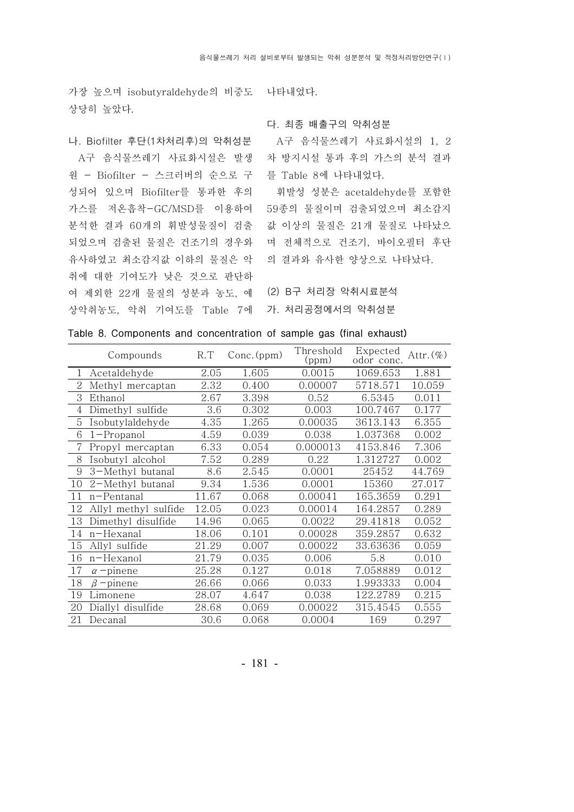가장 높으며 isobutyraldehyde의 비중도 나타내었다. 상당히 높았다.

#### 나. Biofilter 후단 (1 차처리후)의 악취성분

A구 음식물쓰레기 사료화시설은 발생 원 - Biofilter - 스크러버의 순으로 구 를 Table 8에 나타내었다. 성되어 있으며 Biofilter를 통과한 후의 가스를 저온흡착-GC/MSD를 이용하여 59종의 물질이며 검출되었으며 최소감지 분석한 결과 60개의 휘발성물질이 검출 값 이상의 물질은 21개 물질로 나타났으 되었으며 검출된 물질은 건조기의 경우와 며 전체적으로 건조기, 바이오필터 후단 유사하였고 최소감지값 이하의 물질은 악 의 결과와 유사한 양상으로 나타났다. 취에 대한 기여도가 낮은 것으로 판단하 여 제외한 22개 물질의 성분과 농도, 예 (2) B구 처리장 악취시료분석 상악취농도, 악취 기여도를 Table 7에 가. 처리공정에서의 악취성분

### 다. 최종 배출구의 악취성분

A구 음식물쓰레기 사료화시설의 1, 2 차 방지시설 통과 후의 가스의 분석 결과

휘발성 성분은 acetaldehyde를 포함한

|              | Compounds            | R.T   | $Conc.$ (ppm) | Threshold<br>(ppm) | Expected<br>odor conc. | Attr. $(\%)$ |
|--------------|----------------------|-------|---------------|--------------------|------------------------|--------------|
| $\mathbf{1}$ | Acetaldehyde         | 2.05  | 1.605         | 0.0015             | 1069.653               | 1.881        |
| 2            | Methyl mercaptan     | 2.32  | 0.400         | 0.00007            | 5718.571               | 10.059       |
| 3            | Ethanol              | 2.67  | 3.398         | 0.52               | 6.5345                 | 0.011        |
| 4            | Dimethyl sulfide     | 3.6   | 0.302         | 0.003              | 100.7467               | 0.177        |
| 5            | Isobutylaldehyde     | 4.35  | 1.265         | 0.00035            | 3613.143               | 6.355        |
| 6            | $1$ -Propanol        | 4.59  | 0.039         | 0.038              | 1.037368               | 0.002        |
| 7            | Propyl mercaptan     | 6.33  | 0.054         | 0.000013           | 4153.846               | 7.306        |
| 8            | Isobutyl alcohol     | 7.52  | 0.289         | 0.22               | 1.312727               | 0.002        |
| 9            | 3-Methyl butanal     | 8.6   | 2.545         | 0.0001             | 25452                  | 44.769       |
| 10           | 2-Methyl butanal     | 9.34  | 1.536         | 0.0001             | 15360                  | 27.017       |
| 11           | n-Pentanal           | 11.67 | 0.068         | 0.00041            | 165.3659               | 0.291        |
| 12           | Allyl methyl sulfide | 12.05 | 0.023         | 0.00014            | 164.2857               | 0.289        |
| 13           | Dimethyl disulfide   | 14.96 | 0.065         | 0.0022             | 29.41818               | 0.052        |
| 14           | n-Hexanal            | 18.06 | 0.101         | 0.00028            | 359.2857               | 0.632        |
| 15           | Allyl sulfide        | 21.29 | 0.007         | 0.00022            | 33.63636               | 0.059        |
| 16           | n-Hexanol            | 21.79 | 0.035         | 0.006              | 5.8                    | 0.010        |
| 17           | $\alpha$ -pinene     | 25.28 | 0.127         | 0.018              | 7.058889               | 0.012        |
| 18           | $\beta$ -pinene      | 26.66 | 0.066         | 0.033              | 1.993333               | 0.004        |
| 19           | Limonene             | 28.07 | 4.647         | 0.038              | 122.2789               | 0.215        |
| 20           | Diallyl disulfide    | 28.68 | 0.069         | 0.00022            | 315.4545               | 0.555        |
| 21           | Decanal              | 30.6  | 0.068         | 0.0004             | 169                    | 0.297        |

### Table 8. Components and concentration of sample gas (final exhaust)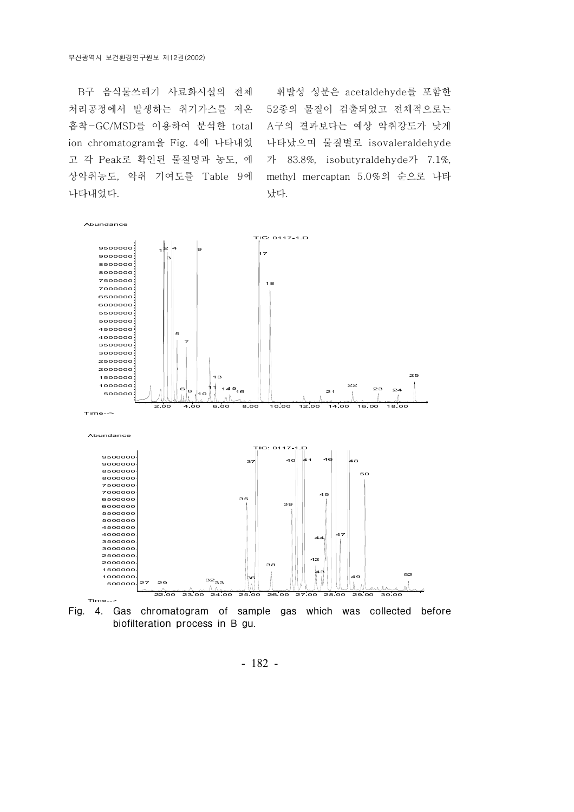B구 음식물쓰레기 사료화시설의 전체 처리공정에서 발생하는 취기가스를 저온 흡착-GC/MSD를 이용하여 분석한 total ion chromatogram을 Fig. 4에 나타내었 고 각 Peak로 확인된 물질명과 농도, 예 상악취농도, 악취 기여도를 Table 9에 나타내었다.

휘발성 성분은 acetaldehyde를 포함한 종의 물질이 검출되었고 전체적으로는 A구의 결과보다는 예상 악취강도가 낮게 나타났으며 물질별로 isovaleraldehyde 가 83.8%, isobutyraldehyde가 7.1%, methyl mercaptan 5.0%의 순으로 나타 났다.



- 182 -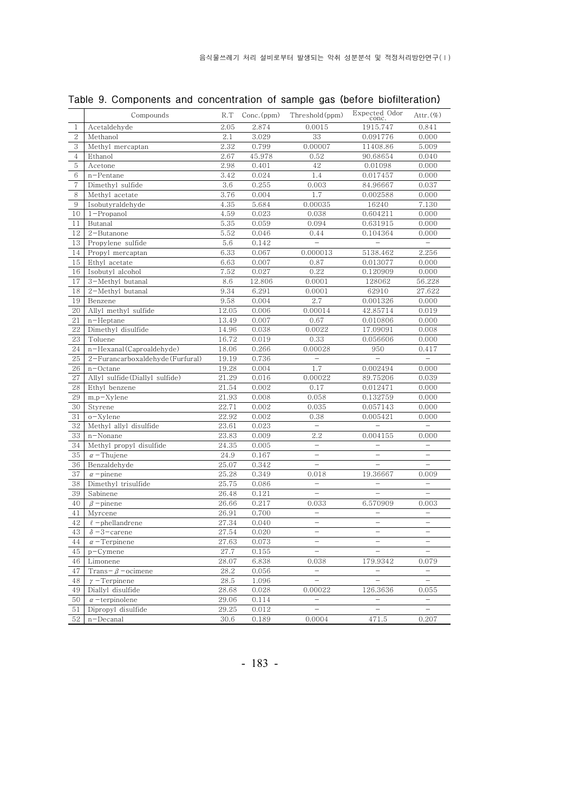|                | Compounds                           | R.T           | Conc.(ppm)     | Threshold (ppm)                 | Expected Odor<br>conc.               | Attr. $(\%)$                      |
|----------------|-------------------------------------|---------------|----------------|---------------------------------|--------------------------------------|-----------------------------------|
| 1              | Acetaldehyde                        | 2.05          | 2.874          | 0.0015                          | 1915.747                             | 0.841                             |
| $\overline{2}$ | Methanol                            | 2.1           | 3.029          | 33                              | 0.091776                             | 0.000                             |
| $\overline{3}$ | Methyl mercaptan                    | 2.32          | 0.799          | 0.00007                         | 11408.86                             | 5.009                             |
| $\overline{4}$ | Ethanol                             | 2.67          | 45.978         | 0.52                            | 90.68654                             | 0.040                             |
| 5              | Acetone                             | 2.98          | 0.401          | 42                              | 0.01098                              | 0.000                             |
| 6              | n-Pentane                           | 3.42          | 0.024          | 1.4                             | 0.017457                             | 0.000                             |
| $\tau$         | Dimethyl sulfide                    | 3.6           | 0.255          | 0.003                           | 84.96667                             | 0.037                             |
| 8              | Methyl acetate                      | 3.76          | 0.004          | 1.7                             | 0.002588                             | 0.000                             |
| 9              | Isobutyraldehyde                    | 4.35          | 5.684          | 0.00035                         | 16240                                | 7.130                             |
| 10             | $1$ -Propanol                       | 4.59          | 0.023          | 0.038                           | 0.604211                             | 0.000                             |
| 11             | Butanal                             | 5.35          | 0.059          | 0.094                           | 0.631915                             | 0.000                             |
| 12             | $2 - Butanone$                      | 5.52          | 0.046          | 0.44                            | 0.104364                             | 0.000                             |
| 13             | Propylene sulfide                   | 5.6           | 0.142          | $\overline{\phantom{a}}$        | $\overline{\phantom{0}}$             | $\overline{\phantom{0}}$          |
| 14             | Propyl mercaptan                    | 6.33          | 0.067          | 0.000013                        | 5138.462                             | 2.256                             |
| 15             | Ethyl acetate                       | 6.63          | 0.007          | 0.87                            | 0.013077                             | 0.000                             |
| 16             | Isobutyl alcohol                    | 7.52          | 0.027          | 0.22                            | 0.120909                             | 0.000                             |
| 17             | 3-Methyl butanal                    | 8.6           | 12.806         | 0.0001                          | 128062                               | 56.228                            |
| 18             | 2-Methyl butanal                    | 9.34          | 6.291          | 0.0001                          | 62910                                | 27.622                            |
| 19             | Benzene                             | 9.58          | 0.004          | 2.7                             | 0.001326                             | 0.000                             |
| 20             | Allyl methyl sulfide                | 12.05         | 0.006          | 0.00014                         | 42.85714                             | 0.019                             |
| 21             | $n$ –Heptane                        | 13.49         | 0.007          | 0.67                            | 0.010806                             | 0.000                             |
| 22             | Dimethyl disulfide                  | 14.96         | 0.038          | 0.0022                          | 17.09091                             | 0.008                             |
| 23             | Toluene                             | 16.72         | 0.019          | 0.33                            | 0.056606                             | 0.000                             |
| 24             | n-Hexanal(Caproaldehyde)            | 18.06         | 0.266          | 0.00028                         | 950                                  | 0.417                             |
| 25             | 2-Furancarboxaldehyde (Furfural)    | 19.19         | 0.736          | $\overline{\phantom{a}}$        | $\equiv$                             | $\overline{\phantom{a}}$          |
| 26             | $n$ –Octane                         | 19.28         | 0.004          | 1.7                             | 0.002494                             | 0.000                             |
| 27             | Allyl sulfide (Diallyl sulfide)     | 21.29         | 0.016          | 0.00022                         | 89.75206                             | 0.039                             |
| 28             | Ethyl benzene                       | 21.54         | 0.002          | 0.17                            | 0.012471                             | 0.000                             |
| 29             | m,p-Xylene                          | 21.93         | 0.008          | 0.058                           | 0.132759                             | 0.000                             |
| 30             | Styrene                             | 22.71         | 0.002          | 0.035                           | 0.057143                             | 0.000                             |
| 31             | o-Xylene                            | 22.92         | 0.002          | 0.38<br>$\!-$                   | 0.005421<br>$\overline{\phantom{0}}$ | 0.000<br>$\equiv$                 |
| 32<br>33       | Methyl allyl disulfide              | 23.61         | 0.023          |                                 |                                      |                                   |
| 34             | n-Nonane<br>Methyl propyl disulfide | 23.83         | 0.009          | 2.2<br>$\overline{\phantom{a}}$ | 0.004155<br>$\overline{\phantom{0}}$ | 0.000<br>$\overline{\phantom{0}}$ |
| 35             |                                     | 24.35         | 0.005<br>0.167 | $\qquad \qquad -$               | $\qquad \qquad -$                    | $\overline{\phantom{0}}$          |
| 36             | $\alpha$ – Thujene                  | 24.9<br>25.07 | 0.342          | $\overline{\phantom{0}}$        |                                      | $\equiv$                          |
| 37             | Benzaldehyde<br>$\alpha$ -pinene    | 25.28         | 0.349          | 0.018                           | 19.36667                             | 0.009                             |
| 38             | Dimethyl trisulfide                 | 25.75         | 0.086          | $\overline{\phantom{0}}$        | $\overline{\phantom{0}}$             | $\overline{\phantom{0}}$          |
| 39             | Sabinene                            | 26.48         | 0.121          |                                 |                                      |                                   |
| 40             | $\beta$ -pinene                     | 26.66         | 0.217          | 0.033                           | 6.570909                             | 0.003                             |
| 41             | Myrcene                             | 26.91         | 0.700          | $\overline{\phantom{0}}$        | $\overline{\phantom{0}}$             |                                   |
| 42             | $\ell$ -phellandrene                | 27.34         | 0.040          | $\overline{\phantom{0}}$        |                                      |                                   |
| 43             | $\delta$ -3-carene                  | 27.54         | 0.020          | $\overline{\phantom{a}}$        | $\overline{\phantom{0}}$             | $\qquad \qquad -$                 |
| 44             | $\alpha$ -Terpinene                 | 27.63         | 0.073          |                                 |                                      | $\qquad \qquad -$                 |
| 45             | $p$ –Cymene                         | 27.7          | 0.155          | $\overline{\phantom{0}}$        |                                      | $\overline{\phantom{0}}$          |
| 46             | Limonene                            | 28.07         | 6.838          | 0.038                           | 179.9342                             | 0.079                             |
| 47             | Trans- $\beta$ -ocimene             | 28.2          | 0.056          | $\overline{\phantom{a}}$        | $\overline{\phantom{a}}$             | $\overline{\phantom{a}}$          |
| 48             | $\gamma$ – Terpinene                | $28.5\,$      | 1.096          | $\qquad \qquad -$               | $\overline{\phantom{0}}$             | $\overline{\phantom{0}}$          |
| 49             | Diallyl disulfide                   | 28.68         | 0.028          | 0.00022                         | 126.3636                             | 0.055                             |
| 50             | $\alpha$ -terpinolene               | 29.06         | 0.114          | $\overline{\phantom{0}}$        | $\qquad \qquad -$                    | $\qquad \qquad -$                 |
| 51             | Dipropyl disulfide                  | 29.25         | 0.012          | $\qquad \qquad -$               |                                      | $\qquad \qquad -$                 |
| 52             | n-Decanal                           | 30.6          | 0.189          | 0.0004                          | 471.5                                | 0.207                             |

Table 9. Components and concentration of sample gas (before biofilteration)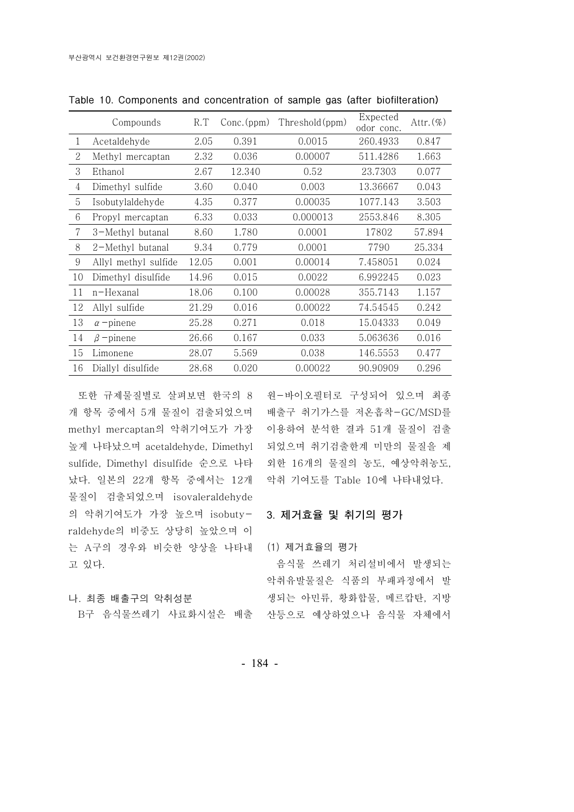|                | Compounds            | R.T   | $Conc.$ (ppm) | Threshold(ppm) | Expected<br>odor conc. | Attr. $(\%)$ |
|----------------|----------------------|-------|---------------|----------------|------------------------|--------------|
| 1              | Acetaldehyde         | 2.05  | 0.391         | 0.0015         | 260.4933               | 0.847        |
| 2              | Methyl mercaptan     | 2.32  | 0.036         | 0.00007        | 511.4286               | 1.663        |
| 3              | Ethanol              | 2.67  | 12.340        | 0.52           | 23.7303                | 0.077        |
| $\overline{4}$ | Dimethyl sulfide     | 3.60  | 0.040         | 0.003          | 13.36667               | 0.043        |
| 5              | Isobutylaldehyde     | 4.35  | 0.377         | 0.00035        | 1077.143               | 3.503        |
| 6              | Propyl mercaptan     | 6.33  | 0.033         | 0.000013       | 2553.846               | 8.305        |
| 7              | 3-Methyl butanal     | 8.60  | 1.780         | 0.0001         | 17802                  | 57.894       |
| 8              | 2-Methyl butanal     | 9.34  | 0.779         | 0.0001         | 7790                   | 25.334       |
| 9              | Allyl methyl sulfide | 12.05 | 0.001         | 0.00014        | 7.458051               | 0.024        |
| 10             | Dimethyl disulfide   | 14.96 | 0.015         | 0.0022         | 6.992245               | 0.023        |
| 11             | n-Hexanal            | 18.06 | 0.100         | 0.00028        | 355.7143               | 1.157        |
| 12             | Allyl sulfide        | 21.29 | 0.016         | 0.00022        | 74.54545               | 0.242        |
| 13             | $\alpha$ -pinene     | 25.28 | 0.271         | 0.018          | 15.04333               | 0.049        |
| 14             | $\beta$ -pinene      | 26.66 | 0.167         | 0.033          | 5.063636               | 0.016        |
| 15             | Limonene             | 28.07 | 5.569         | 0.038          | 146.5553               | 0.477        |
| 16             | Diallyl disulfide    | 28.68 | 0.020         | 0.00022        | 90.90909               | 0.296        |

Table 10. Components and concentration of sample gas (after biofilteration)

개 항목 중에서 5개 물질이 검출되었으며 배출구 취기가스를 저온흡착-GC/MSD를 methyl mercaptan의 악취기여도가 가장 이용하여 분석한 결과 51개 물질이 검출 높게 나타났으며 acetaldehyde, Dimethyl 되었으며 취기검출한계 미만의 물질을 제 sulfide, Dimethyl disulfide 순으로 나타 외한 16개의 물질의 농도, 예상악취농도, 났다. 일본의 22개 항목 중에서는 12개 악취 기여도를 Table 10에 나타내었다. 물질이 검출되었으며 isovaleraldehyde 의 악취기여도가 가장 높으며 isobuty- 3. **제거효율 및 취기의 평가** raldehyde의 비중도 상당히 높았으며 이 는 A구의 경우와 비슷한 양상을 나타내 (1) 제거효율의 평가 고 있다.

### 나 최종 배출구의 악취성분 .

또한 규제물질별로 살펴보면 한국의 8 원-바이오필터로 구성되어 있으며 최종

B구 음식물쓰레기 사료화시설은 배출 산등으로 예상하였으나 음식물 자체에서 음식물 쓰레기 처리설비에서 발생되는 악취유발물질은 식품의 부패과정에서 발 생되는 아민류, 황화합물, 메르캅탄, 지방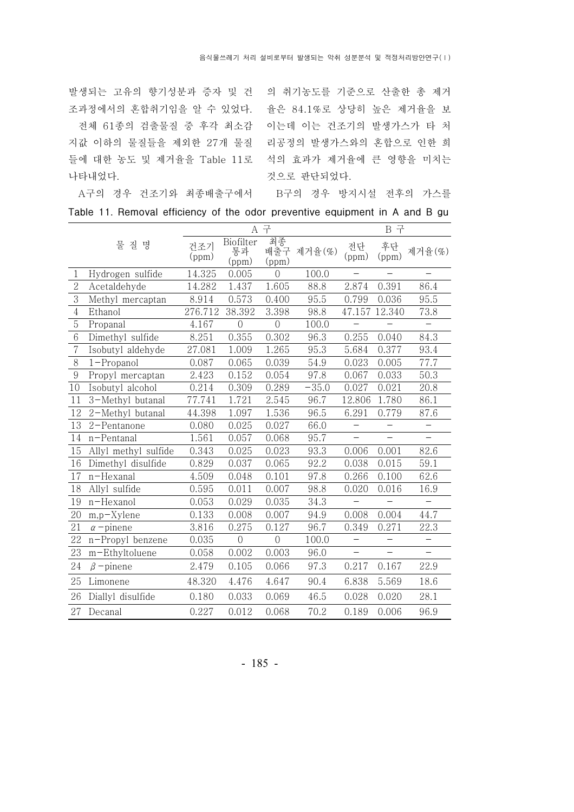발생되는 고유의 향기성분과 증자 및 건 의 취기농도를 기준으로 산출한 총 제거 조과정에서의 혼합취기임을 알 수 있었다. 울은 84.1%로 상당히 높은 제거율을 보

나타내었다.

전체 61종의 검출물질 중 후각 최소감 이는데 이는 건조기의 발생가스가 타 처 지값 이하의 물질들을 제외한 27개 물질 리공정의 발생가스와의 혼합으로 인한 희 들에 대한 농도 및 제거율을 Table 11로 석의 효과가 제거율에 큰 영향을 미치는 것으로 판단되었다.

A구의 경우 건조기와 최종배출구에서 B구의 경우 방지시설 전후의 가스를

| Table 11. Removal efficiency of the odor preventive equipment in A and B gu |  |
|-----------------------------------------------------------------------------|--|
|-----------------------------------------------------------------------------|--|

|                  |                      |              | A 구                      |                |                  | B 구                      |                          |                          |
|------------------|----------------------|--------------|--------------------------|----------------|------------------|--------------------------|--------------------------|--------------------------|
|                  | 물 질 명                | 건조기<br>(ppm) | Biofilter<br>통과<br>(ppm) | (ppm)          | 최종<br>배출구 제거율(%) | 전단<br>(ppm)              | 후단<br>(ppm)              | 제거율(%)                   |
| $\mathbf{1}$     | Hydrogen sulfide     | 14.325       | 0.005                    | $\Omega$       | 100.0            |                          |                          |                          |
| $\overline{2}$   | Acetaldehyde         | 14.282       | 1.437                    | 1.605          | 88.8             | 2.874                    | 0.391                    | 86.4                     |
| 3                | Methyl mercaptan     | 8.914        | 0.573                    | 0.400          | 95.5             | 0.799                    | 0.036                    | 95.5                     |
| $\overline{4}$   | Ethanol              | 276.712      | 38.392                   | 3.398          | 98.8             |                          | 47.157 12.340            | 73.8                     |
| $\overline{5}$   | Propanal             | 4.167        | $\overline{0}$           | $\overline{0}$ | 100.0            |                          |                          | $\overline{\phantom{0}}$ |
| 6                | Dimethyl sulfide     | 8.251        | 0.355                    | 0.302          | 96.3             | 0.255                    | 0.040                    | 84.3                     |
| $\overline{7}$   | Isobutyl aldehyde    | 27.081       | 1.009                    | 1.265          | 95.3             | 5.684                    | 0.377                    | 93.4                     |
| 8                | $1$ -Propanol        | 0.087        | 0.065                    | 0.039          | 54.9             | 0.023                    | 0.005                    | 77.7                     |
| $\boldsymbol{9}$ | Propyl mercaptan     | 2.423        | 0.152                    | 0.054          | 97.8             | 0.067                    | 0.033                    | 50.3                     |
| 10               | Isobutyl alcohol     | 0.214        | 0.309                    | 0.289          | $-35.0$          | 0.027                    | 0.021                    | 20.8                     |
| 11               | 3-Methyl butanal     | 77.741       | 1.721                    | 2.545          | 96.7             | 12.806                   | 1.780                    | 86.1                     |
| 12               | 2-Methyl butanal     | 44.398       | 1.097                    | 1.536          | 96.5             | 6.291                    | 0.779                    | 87.6                     |
| 13               | 2-Pentanone          | 0.080        | 0.025                    | 0.027          | 66.0             | $\qquad \qquad -$        | $\qquad \qquad -$        | $\overline{\phantom{0}}$ |
| 14               | n-Pentanal           | 1.561        | 0.057                    | 0.068          | 95.7             | $\overline{\phantom{0}}$ | $\overline{\phantom{0}}$ | $\overline{\phantom{0}}$ |
| 15               | Allyl methyl sulfide | 0.343        | 0.025                    | 0.023          | 93.3             | 0.006                    | 0.001                    | 82.6                     |
| 16               | Dimethyl disulfide   | 0.829        | 0.037                    | 0.065          | 92.2             | 0.038                    | 0.015                    | 59.1                     |
| 17               | n-Hexanal            | 4.509        | 0.048                    | 0.101          | 97.8             | 0.266                    | 0.100                    | 62.6                     |
| 18               | Allyl sulfide        | 0.595        | 0.011                    | 0.007          | 98.8             | 0.020                    | 0.016                    | 16.9                     |
| 19               | n-Hexanol            | 0.053        | 0.029                    | 0.035          | 34.3             | $\overline{\phantom{0}}$ |                          | $\equiv$                 |
| 20               | $m,p$ -Xylene        | 0.133        | 0.008                    | 0.007          | 94.9             | 0.008                    | 0.004                    | 44.7                     |
| 21               | $\alpha$ -pinene     | 3.816        | 0.275                    | 0.127          | 96.7             | 0.349                    | 0.271                    | 22.3                     |
| 22               | n-Propyl benzene     | 0.035        | $\overline{0}$           | $\overline{0}$ | 100.0            |                          | $-$                      |                          |
| 23               | m-Ethyltoluene       | 0.058        | 0.002                    | 0.003          | 96.0             | $\overline{\phantom{0}}$ | $\qquad \qquad -$        | $\qquad \qquad -$        |
| 24               | $\beta$ -pinene      | 2.479        | 0.105                    | 0.066          | 97.3             | 0.217                    | 0.167                    | 22.9                     |
| 25               | Limonene             | 48.320       | 4.476                    | 4.647          | 90.4             | 6.838                    | 5.569                    | 18.6                     |
| 26               | Diallyl disulfide    | 0.180        | 0.033                    | 0.069          | 46.5             | 0.028                    | 0.020                    | 28.1                     |
| 27               | Decanal              | 0.227        | 0.012                    | 0.068          | 70.2             | 0.189                    | 0.006                    | 96.9                     |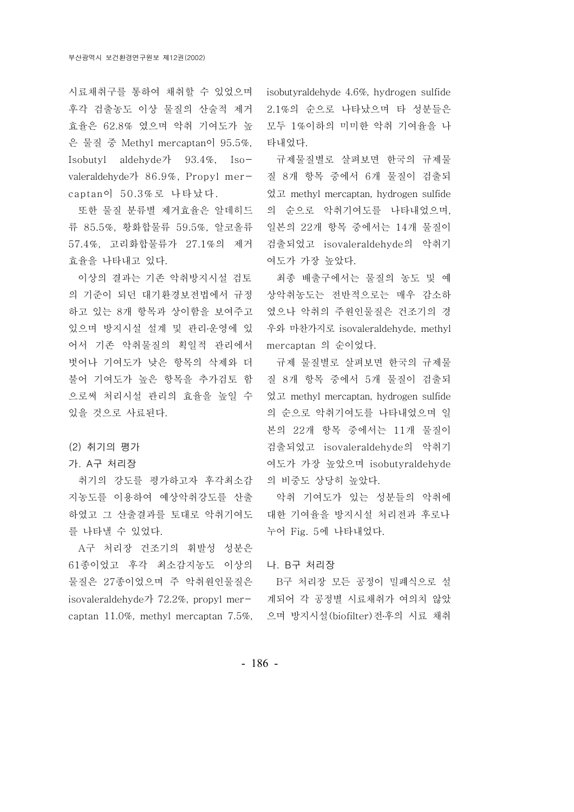후각 검출농도 이상 물질의 산술적 제거 효율은 62.8% 였으며 악취 기여도가 높 은 물질 중 Methyl mercaptan이 95.5%, Isobutyl aldehyde  $\frac{1}{2}$  93.4%, Isovaleraldehyde가 86.9%, Propyl mercaptan이 50.3%로 나타났다.

또한 물질 분류별 제거효율은 알데히드 류 황화합물류 85.5%, 59.5%, 알코올류 57.4%, 27.1% 고리화합물류가 의 제거 효율을 나타내고 있다.

이상의 결과는 기존 악취방지시설 검토 의 기준이 되던 대기환경보전법에서 규정 하고 있는 8개 항목과 상이함을 보여주고 있으며 방지시설 설계 및 관리·운영에 있 어서 기존 악취물질의 획일적 관리에서 mercaptan 의 순이었다. 벗어나 기여도가 낮은 항목의 삭제와 더 불어 기여도가 높은 항목을 추가검토 함 으로써 처리시설 관리의 효율을 높일 수 었고 methyl mercaptan, hydrogen sulfide 있을 것으로 사료된다.

## (2) 취기의 평가

## 가. A구 처리장

취기의 강도를 평가하고자 후각최소감 지농도를 이용하여 예상악취강도를 산출 하였고 그 산출결과를 토대로 악취기여도 를 나타낼 수 있었다.

A구 처리장 건조기의 휘발성 성분은 61종이었고 후각 최소감지농도 이상의 물질은 27종이었으며 주 악취원인물질은 isovaleraldehyde가 72.2%, propyl mer- 계되어 각 공정별 시료채취가 여의치 않았 captan 11.0%, methyl mercaptan 7.5%, 으며 방지시설(biofilter)전후의 시료 채취

시료채취구를 통하여 채취할 수 있었으며 isobutyraldehyde 4.6%, hydrogen sulfide 2.1%의 순으로 나타났으며 타 성분들은 모두 1%이하의 미미한 악취 기여율을 나 타내었다.

> 규제물질별로 살펴보면 한국의 규제물 질 8개 항목 중에서 6개 물질이 검출되 었고 methyl mercaptan, hydrogen sulfide 의 순으로 악취기여도를 나타내었으며, 일본의 22개 항목 중에서는 14개 물질이 검출되었고 isovaleraldehyde의 악취기 여도가 가장 높았다.

> 최종 배출구에서는 물질의 농도 및 예 상악취농도는 전반적으로는 매우 감소하 였으나 악취의 주원인물질은 건조기의 경 우와 마찬가지로 isovaleraldehyde, methyl

> 규제 물질별로 살펴보면 한국의 규제물 질 8개 항목 중에서 5개 물질이 검출되 의 순으로 악취기여도를 나타내었으며 일 본의 22개 항목 중에서는 11개 물질이 검출되었고 isovaleraldehyde의 악취기 여도가 가장 높았으며 isobutyraldehyde 의 비중도 상당히 높았다.

> 악취 기여도가 있는 성분들의 악취에 대한 기여율을 방지시설 처리전과 후로나 누어 Fig. 5에 나타내었다.

나. B구 처리장

B구 처리장 모든 공정이 밀폐식으로 설

- 186 -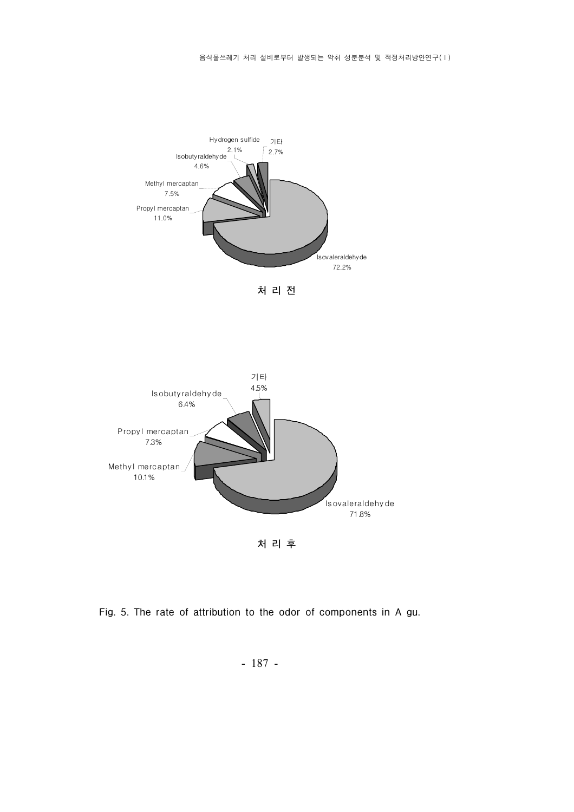

처 리 전 처리전



Fig. 5. The rate of attribution to the odor of components in A gu.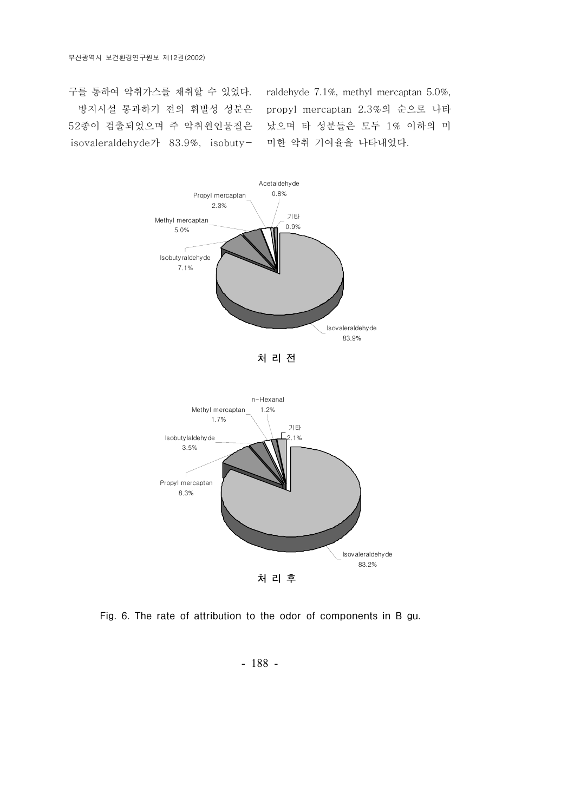구를 통하여 악취가스를 채취할 수 있었다. 방지시설 통과하기 전의 휘발성 성분은 52종이 검출되었으며 주 악취원인물질은 isovaleraldehyde  $7 \cdot 83.9\%$ , isobuty-

raldehyde 7.1%, methyl mercaptan 5.0%, propyl mercaptan 2.3%의 순으로 나타 났으며 타 성분들은 모두 1% 이하의 미 미한 악취 기여율을 나타내었다.



Fig. 6. The rate of attribution to the odor of components in B gu.

- 188 -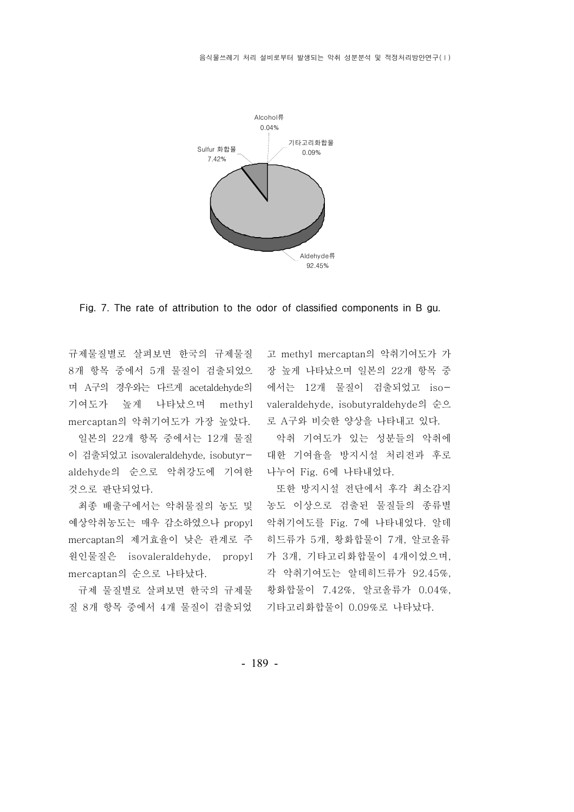

Fig. 7. The rate of attribution to the odor of classified components in B gu.

규제물질별로 살펴보면 한국의 규제물질 8개 항목 중에서 5개 물질이 검출되었으 며 A구의 경우와는 다르게 acetaldehyde의 기여도가 높게 나타났으며 methyl mercaptan의 악취기여도가 가장 높았다.

일본의 22개 항목 중에서는 12개 물질 이 검출되었고 isovaleraldehyde, isobutyraldehyde의 순으로 악취강도에 기여한 것으로 판단되었다.

최종 배출구에서는 악취물질의 농도 및 예상악취농도는 매우 감소하였으나 propyl mercaptan의 제거효율이 낮은 관계로 주 원인물질은 isovaleraldehyde, propyl mercaptan의 순으로 나타났다.

규제 물질별로 살펴보면 한국의 규제물 질 8개 항목 중에서 4개 물질이 검출되었

고 methyl mercaptan의 악취기여도가 가 - 장 높게 나타났으며 일본의 22개 항목 중 에서는 12개 물질이 검출되었고 isovaleraldehyde, isobutyraldehyde의 순으 로 A구와 비슷한 양상을 나타내고 있다.

악취 기여도가 있는 성분들의 악취에 대한 기여율을 방지시설 처리전과 후로 나누어 Fig. 6에 나타내었다.

또한 방지시설 전단에서 후각 최소감지 농도 이상으로 검출된 물질들의 종류별 악취기여도를 Fig. 7에 나타내었다. 알데 히드류가 5개, 황화합물이 7개, 알코올류 가 3개, 기타고리화합물이 4개이었으며, 각 악취기여도는 알데히드류가 92.45%, 황화합물이 7.42%, 알코올류가 0.04%, 기타고리화합물이 0.09%로 나타났다.

- 189 -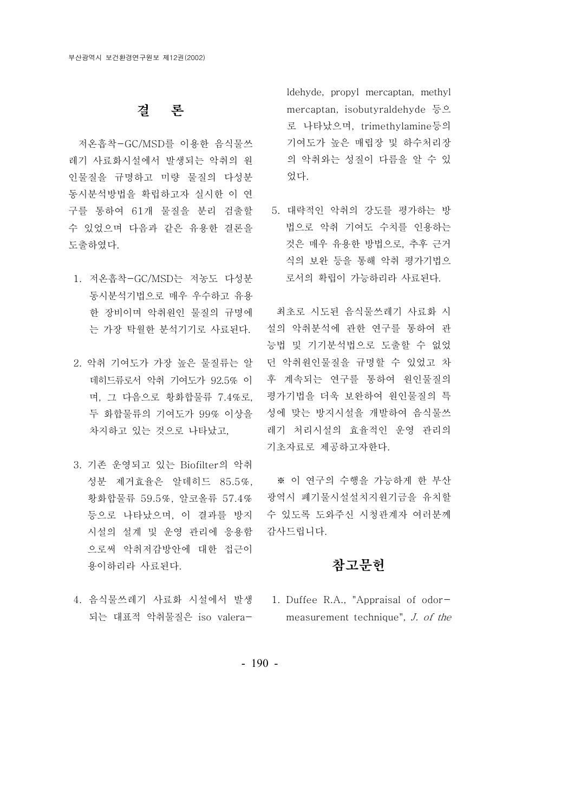## 결 론

저온흡착-GC/MSD를 이용한 음식물쓰 레기 사료화시설에서 발생되는 악취의 원 인물질을 규명하고 미량 물질의 다성분 동시분석방법을 확립하고자 실시한 이 연 구를 통하여 61개 물질을 분리 검출할 수 있었으며 다음과 같은 유용한 결론을 도출하였다.

- 1. 저온흡착-GC/MSD는 저농도 다성분 동시분석기법으로 매우 우수하고 유용 한 장비이며 악취원인 물질의 규명에 는 가장 탁월한 분석기기로 사료된다.
- 2. 악취 기여도가 가장 높은 물질류는 알 데히드류로서 악취 기여도가 92.5% 이 며, 그 다음으로 황화합물류 7.4%로, 두 화합물류의 기여도가 99% 이상을 차지하고 있는 것으로 나타났고,
- 3. 기존 운영되고 있는 Biofilter의 악취 성분 제거효율은 알데히드 85.5%. 황화합물류 59.5%, 알코올류 57.4% 등으로 나타났으며, 이 결과를 방지 시설의 설계 및 운영 관리에 응용함 으로써 악취저감방안에 대한 접근이 용이하리라 사료된다.
- 4. 음식물쓰레기 사료화 시설에서 발생 1. Duffee R.A., "Appraisal of odor-되는 대표적 악취물질은 iso valera-

ldehyde, propyl mercaptan, methyl mercaptan, isobutyraldehyde 등으 로 나타났으며, trimethylamine등의 기여도가 높은 매립장 및 하수처리장 의 악취와는 성질이 다름을 알 수 있 었다.

5. 대략적인 악취의 강도를 평가하는 방 법으로 악취 기여도 수치를 인용하는 것은 매우 유용한 방법으로, 추후 근거 식의 보완 등을 통해 악취 평가기법으 로서의 확립이 가능하리라 사료된다.

최초로 시도된 음식물쓰레기 사료화 시 설의 악취분석에 관한 연구를 통하여 관 능법 및 기기분석법으로 도출할 수 없었 던 악취원인물질을 규명할 수 있었고 차 후 계속되는 연구를 통하여 원인물질의 평가기법을 더욱 보완하여 원인물질의 특 성에 맞는 방지시설을 개발하여 음식물쓰 레기 처리시설의 효율적인 운영 관리의 기초자료로 제공하고자한다.

※ 이 연구의 수행을 가능하게 한 부산 광역시 폐기물시설설치지원기금을 유치할 수 있도록 도와주신 시청관계자 여러분께 감사드립니다.

# 참고문헌

measurement technique", J. of the